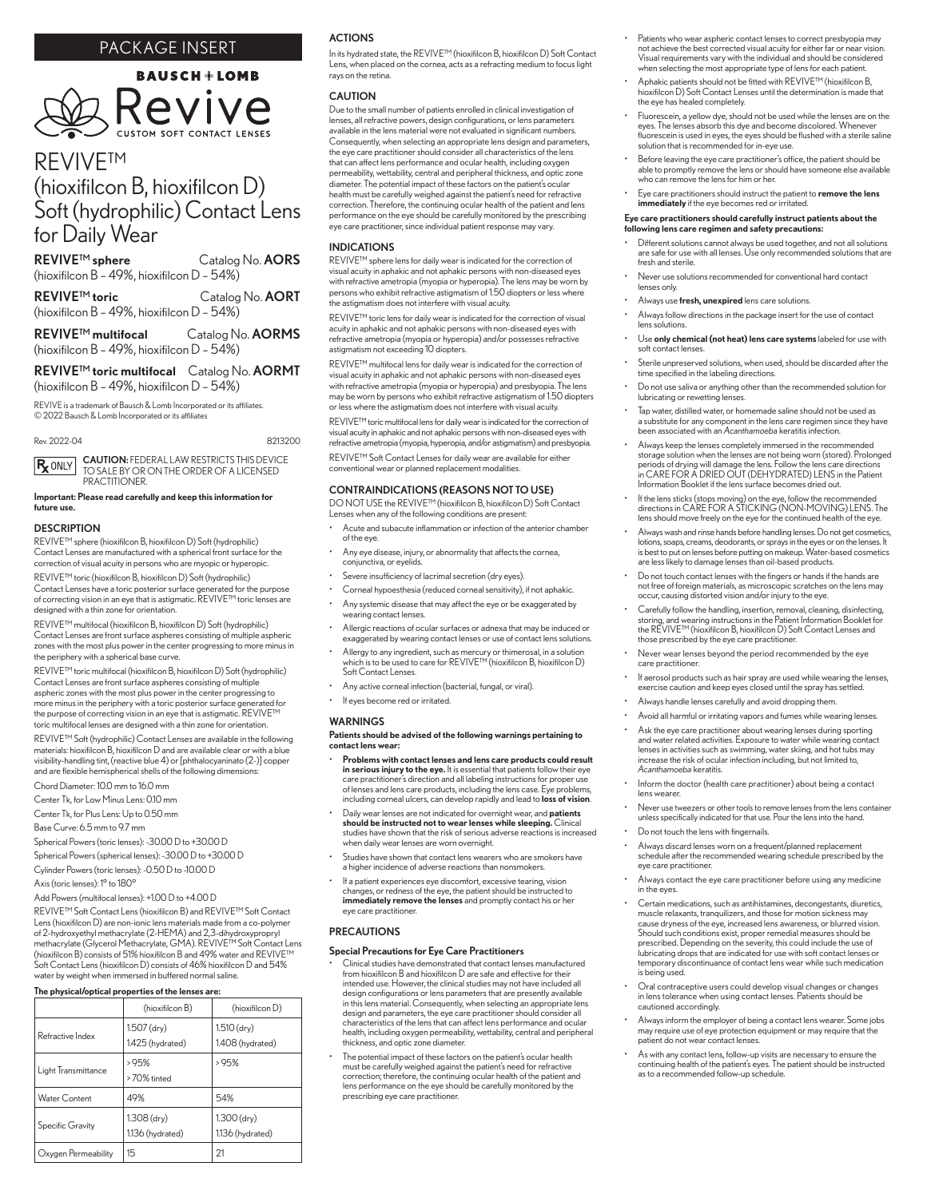## PACKAGE INSERT



# REVIVE™ (hioxifilcon B, hioxifilcon D) Soft (hydrophilic) Contact Lens for Daily Wear

REVIVE™ sphere Catalog No. AORS (hioxifilcon B – 49%, hioxifilcon D – 54%)

REVIVE™ toric Catalog No. AORT (hioxifilcon B – 49%, hioxifilcon D – 54%)

REVIVE™ multifocal Catalog No. AORMS (hioxifilcon B – 49%, hioxifilcon D – 54%)

### REVIVE™ toric multifocal Catalog No. AORMT (hioxifilcon B – 49%, hioxifilcon D – 54%)

REVIVE is a trademark of Bausch & Lomb Incorporated or its affiliates. © 2022 Bausch & Lomb Incorporated or its affiliates

Rev. 2022-04 8213200

CAUTION: FEDERAL LAW RESTRICTS THIS DEVICE TO SALE BY OR ON THE ORDER OF A LICENSED  $\mathsf{R}_{\mathsf{X}}$  ONLY PRACTITIONER.

Important: Please read carefully and keep this information for future use.

#### **DESCRIPTION**

REVIVE™ sphere (hioxifilcon B, hioxifilcon D) Soft (hydrophilic) Contact Lenses are manufactured with a spherical front surface for the correction of visual acuity in persons who are myopic or hyperopic.

REVIVE™ toric (hioxifilcon B, hioxifilcon D) Soft (hydrophilic) Contact Lenses have a toric posterior surface generated for the purpose of correcting vision in an eye that is astigmatic. REVIVE™ toric lenses are designed with a thin zone for orientation.

REVIVE™ multifocal (hioxifilcon B, hioxifilcon D) Soft (hydrophilic) Contact Lenses are front surface aspheres consisting of multiple aspheric zones with the most plus power in the center progressing to more minus in the periphery with a spherical base curve.

REVIVE™ toric multifocal (hioxifilcon B, hioxifilcon D) Soft (hydrophilic) Contact Lenses are front surface aspheres consisting of multiple aspheric zones with the most plus power in the center progressing to more minus in the periphery with a toric posterior surface generated for the purpose of correcting vision in an eye that is astigmatic. REVIVE™ toric multifocal lenses are designed with a thin zone for orientation.

REVIVE™ Soft (hydrophilic) Contact Lenses are available in the following materials: hioxifilcon B, hioxifilcon D and are available clear or with a blue visibility-handling tint, (reactive blue 4) or [phthalocyaninato (2-)] copper and are flexible hemispherical shells of the following dimensions:

Chord Diameter: 10.0 mm to 16.0 mm

Center Tk, for Low Minus Lens: 0.10 mm

Center Tk, for Plus Lens: Up to 0.50 mm

Base Curve: 6.5 mm to 9.7 mm

Spherical Powers (toric lenses): -30.00 D to +30.00 D

Spherical Powers (spherical lenses): -30.00 D to +30.00 D

Cylinder Powers (toric lenses): -0.50 D to -10.00 D

Axis (toric lenses): 1° to 180°

Add Powers (multifocal lenses): +1.00 D to +4.00 D

REVIVE™ Soft Contact Lens (hioxifilcon B) and REVIVE™ Soft Contact Lens (hioxifilcon D) are non-ionic lens materials made from a co-polymer of 2-hydroxyethyl methacrylate (2-HEMA) and 2,3-dihydroxypropryl<br>methacrylate (Glycerol Methacrylate, GMA). REVIVE™ Soft Contact Lens (hioxifilcon B) consists of 51% hioxifilcon B and 49% water and REVIVE™ Soft Contact Lens (hioxifilcon D) consists of 46% hioxifilcon D and 54% water by weight when immersed in buffered normal saline.

#### The physical/optical properties of the lenses are:

#### (hioxifilcon B) (hioxifilcon D) Refractive Index 1.507 (dry) 1.425 (hydrated) 1.510 (dry) 1.408 (hydrated) Light Transmittance > 95% > 70% tinted > 95% Water Content 149% 154% Specific Gravity 1.308 (dry) 1.136 (hydrated) 1.300 (dry) 1.136 (hydrated) Oxygen Permeability 15 21

#### ACTIONS

In its hydrated state, the REVIVE™ (hioxifilcon B, hioxifilcon D) Soft Contact Lens, when placed on the cornea, acts as a refracting medium to focus light rays on the retina.

#### CAUTION

Due to the small number of patients enrolled in clinical investigation of lenses, all refractive powers, design configurations, or lens parameters available in the lens material were not evaluated in significant numbers. Consequently, when selecting an appropriate lens design and parameters, the eye care practitioner should consider all characteristics of the lens that can affect lens performance and ocular health, including oxygen permeability, wettability, central and peripheral thickness, and optic zone diameter. The potential impact of these factors on the patient's ocular health must be carefully weighed against the patient's need for refractive correction. Therefore, the continuing ocular health of the patient and lens performance on the eye should be carefully monitored by the prescribing eye care practitioner, since individual patient response may vary.

#### INDICATIONS

REVIVE™ sphere lens for daily wear is indicated for the correction of visual acuity in aphakic and not aphakic persons with non-diseased eyes with refractive ametropia (myopia or hyperopia). The lens may be worn by persons who exhibit refractive astigmatism of 1.50 diopters or less where the astigmatism does not interfere with visual acuity.

REVIVE™ toric lens for daily wear is indicated for the correction of visual acuity in aphakic and not aphakic persons with non-diseased eyes with refractive ametropia (myopia or hyperopia) and/or possesses refractive astigmatism not exceeding 10 diopters.

REVIVE™ multifocal lens for daily wear is indicated for the correction of visual acuity in aphakic and not aphakic persons with non-diseased eyes with refractive ametropia (myopia or hyperopia) and presbyopia. The lens may be worn by persons who exhibit refractive astigmatism of 1.50 diopters or less where the astigmatism does not interfere with visual acuity.

REVIVE™ toric multifocal lens for daily wear is indicated for the correction of visual acuity in aphakic and not aphakic persons with non-diseased eyes with refractive ametropia (myopia, hyperopia, and/or astigmatism) and presbyopia. REVIVE™ Soft Contact Lenses for daily wear are available for either conventional wear or planned replacement modalities.

#### CONTRAINDICATIONS (REASONS NOT TO USE)

DO NOT USE the REVIVE™ (hioxifilcon B, hioxifilcon D) Soft Contact Lenses when any of the following conditions are present:

- Acute and subacute inflammation or infection of the anterior chamber of the eye.
- Any eye disease, injury, or abnormality that affects the cornea, conjunctiva, or eyelids.
- Severe insufficiency of lacrimal secretion (dry eyes).
- Corneal hypoesthesia (reduced corneal sensitivity), if not aphakic.
- Any systemic disease that may affect the eye or be exaggerated by .<br>ing contact lenses
- Allergic reactions of ocular surfaces or adnexa that may be induced or exaggerated by wearing contact lenses or use of contact lens solutions.
- Allergy to any ingredient, such as mercury or thimerosal, in a solution which is to be used to care for  $REVIVE^{\text{TM}}$  (hioxifilcon B, hioxifilcon D) Soft Contact Lenses.
- Any active corneal infection (bacterial, fungal, or viral).
- If eyes become red or irritated.

#### **WARNINGS**

Patients should be advised of the following warnings pertaining to contact lens wear:

- Problems with contact lenses and lens care products could result in serious injury to the eye. It is essential that patients follow their eye care practitioner's direction and all labeling instructions for proper use of lenses and lens care products, including the lens case. Eye problems,<br>including corneal ulcers, can develop rapidly and lead to **loss of vision**.
- Daily wear lenses are not indicated for overnight wear, and **patients**<br>**should be instructed not to wear lenses while sleeping.** Clinical studies have shown that the risk of serious adverse reactions is increased when daily wear lenses are worn overnight.
- Studies have shown that contact lens wearers who are smokers have a higher incidence of adverse reactions than nonsmokers.
- If a patient experiences eye discomfort, excessive tearing, vision changes, or redness of the eye, the patient should be instructed to **immediately remove the lenses** and promptly contact his or her eye care practitioner.

#### **PRECAUTIONS**

#### Special Precautions for Eye Care Practitioners

- Clinical studies have demonstrated that contact lenses manufactured from hioxifilcon B and hioxifilcon D are safe and effective for their intended use. However, the clinical studies may not have included all design configurations or lens parameters that are presently available in this lens material. Consequently, when selecting an appropriate lens design and parameters, the eye care practitioner should consider all characteristics of the lens that can affect lens performance and ocular health, including oxygen permeability, wettability, central and peripheral thickness, and optic zone diameter.
- The potential impact of these factors on the patient's ocular health must be carefully weighed against the patient's need for refractive correction; therefore, the continuing ocular health of the patient and lens performance on the eye should be carefully monitored by the prescribing eye care practitioner.
- Patients who wear aspheric contact lenses to correct presbyopia may not achieve the best corrected visual acuity for either far or near vision. Visual requirements vary with the individual and should be considered when selecting the most appropriate type of lens for each patient.
- Aphakic patients should not be fitted with REVIVE™ (hioxifilcon B, hioxifilcon D) Soft Contact Lenses until the determination is made that the eye has healed completely.
- Fluorescein, a yellow dye, should not be used while the lenses are on the eyes. The lenses absorb this dye and become discolored. Whenever fluorescein is used in eyes, the eyes should be flushed with a sterile saline solution that is recommended for in-eye use.
- Before leaving the eye care practitioner's office, the patient should be able to promptly remove the lens or should have someone else available who can remove the lens for him or her.
- Eye care practitioners should instruct the patient to remove the lens immediately if the eye becomes red or irritated.

#### Eye care practitioners should carefully instruct patients about the following lens care regimen and safety precautions:

- Different solutions cannot always be used together, and not all solutions are safe for use with all lenses. Use only recommended solutions that are fresh and sterile.
- Never use solutions recommended for conventional hard contact lenses only.
- Always use fresh, unexpired lens care solutions.
- Always follow directions in the package insert for the use of contact lens solutions.
- Use only chemical (not heat) lens care systems labeled for use with soft contact lenses.
- Sterile unpreserved solutions, when used, should be discarded after the time specified in the labeling directions.
- Do not use saliva or anything other than the recommended solution for lubricating or rewetting lenses.
- Tap water, distilled water, or homemade saline should not be used as a substitute for any component in the lens care regimen since they have been associated with an *Acanthamoeba* keratitis infection.
- Always keep the lenses completely immersed in the recommended storage solution when the lenses are not being worn (stored). Prolonged periods of drying will damage the lens. Follow the lens care directions in CARE FOR A DRIED OUT (DEHYDRATED) LENS in the Patient Information Booklet if the lens surface becomes dried out.
- If the lens sticks (stops moving) on the eye, follow the recommended directions in CARE FOR A STICKING (NON-MOVING) LENS. The lens should move freely on the eye for the continued health of the eye.
- Always wash and rinse hands before handling lenses. Do not get cosmetics, lotions, soaps, creams, deodorants, or sprays in the eyes or on the lenses. It is best to put on lenses before putting on makeup. Water-based cosmetics are less likely to damage lenses than oil-based products.
- Do not touch contact lenses with the fingers or hands if the hands are not free of foreign materials, as microscopic scratches on the lens may occur, causing distorted vision and/or injury to the eye.
- Carefully follow the handling, insertion, removal, cleaning, disinfecting, storing, and wearing instructions in the Patient Information Booklet for the REVIVE<sup>TM</sup> (hioxifilcon B, hioxifilcon D, bott Contact Lenses and th
- Never wear lenses beyond the period recommended by the eye care practitioner.
- If aerosol products such as hair spray are used while wearing the lenses, exercise caution and keep eyes closed until the spray has settled.
- Always handle lenses carefully and avoid dropping them.
- Avoid all harmful or irritating vapors and fumes while wearing lenses.
- Ask the eye care practitioner about wearing lenses during sporting and water related activities. Exposure to water while wearing contact lenses in activities such as swimming, water skiing, and hot tubs may increase the risk of ocular infection including, but not limited to, *Acanthamoeba* keratitis.
- Inform the doctor (health care practitioner) about being a contact lens wearer.
- Never use tweezers or other tools to remove lenses from the lens container unless specifically indicated for that use. Pour the lens into the hand.
- Do not touch the lens with fingernails.
- Always discard lenses worn on a frequent/planned replacement schedule after the recommended wearing schedule prescribed by the eye care practitioner.
- Always contact the eye care practitioner before using any medicine in the eyes.
- Certain medications, such as antihistamines, decongestants, diuretics, muscle relaxants, tranquilizers, and those for motion sickness may cause dryness of the eye, increased lens awareness, or blurred vision. Should such conditions exist, proper remedial measures should be prescribed. Depending on the severity, this could include the use of lubricating drops that are indicated for use with soft contact lenses or temporary discontinuance of contact lens wear while such medication is being used.
- Oral contraceptive users could develop visual changes or changes in lens tolerance when using contact lenses. Patients should be cautioned accordingly.
- Always inform the employer of being a contact lens wearer. Some jobs may require use of eye protection equipment or may require that the patient do not wear contact lenses.
- As with any contact lens, follow-up visits are necessary to ensure the continuing health of the patient's eyes. The patient should be instructed as to a recommended follow-up schedule.